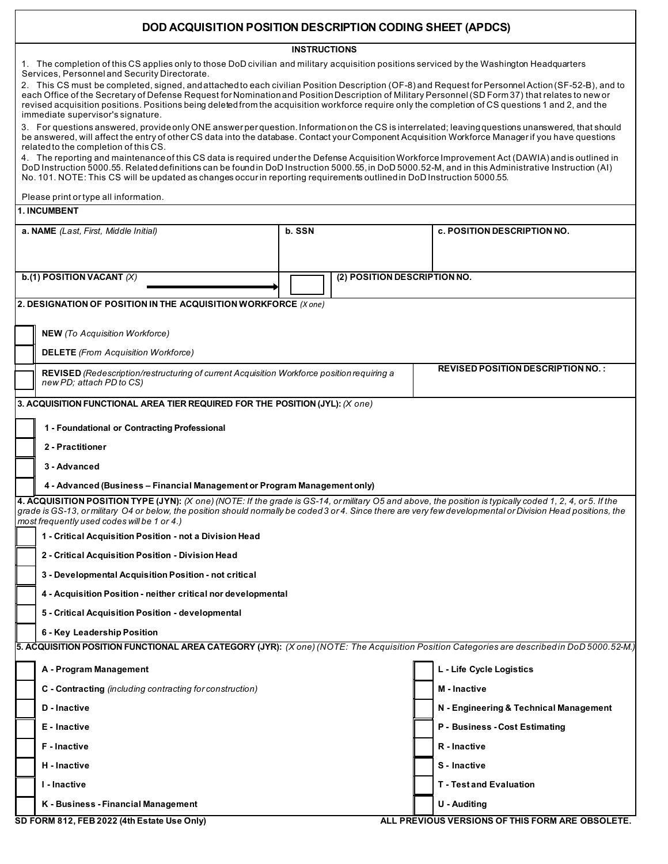## **DOD ACQUISITION POSITION DESCRIPTION CODING SHEET (APDCS)**

**INSTRUCTIONS**

| 1. The completion of this CS applies only to those DoD civilian and military acquisition positions serviced by the Washington Headquarters<br>Services, Personnel and Security Directorate.<br>2. This CS must be completed, signed, and attached to each civilian Position Description (OF-8) and Request for Personnel Action (SF-52-B), and to<br>each Office of the Secretary of Defense Request for Nomination and Position Description of Military Personnel (SD Form 37) that relates to new or<br>revised acquisition positions. Positions being deleted from the acquisition workforce require only the completion of CS questions 1 and 2, and the<br>immediate supervisor's signature.<br>3. For questions answered, provide only ONE answer per question. Information on the CS is interrelated; leaving questions unanswered, that should<br>be answered, will affect the entry of other CS data into the database. Contact your Component Acquisition Workforce Manager if you have questions<br>related to the completion of this CS.<br>4. The reporting and maintenance of this CS data is required under the Defense Acquisition Workforce Improvement Act (DAWIA) and is outlined in<br>DoD Instruction 5000.55. Related definitions can be found in DoD Instruction 5000.55, in DoD 5000.52-M, and in this Administrative Instruction (AI)<br>No. 101. NOTE: This CS will be updated as changes occur in reporting requirements outlined in DoD Instruction 5000.55.<br>Please print or type all information. |                                                                                  |                                                                                                   |  |  |                                          |  |  |
|-----------------------------------------------------------------------------------------------------------------------------------------------------------------------------------------------------------------------------------------------------------------------------------------------------------------------------------------------------------------------------------------------------------------------------------------------------------------------------------------------------------------------------------------------------------------------------------------------------------------------------------------------------------------------------------------------------------------------------------------------------------------------------------------------------------------------------------------------------------------------------------------------------------------------------------------------------------------------------------------------------------------------------------------------------------------------------------------------------------------------------------------------------------------------------------------------------------------------------------------------------------------------------------------------------------------------------------------------------------------------------------------------------------------------------------------------------------------------------------------------------------------------------------|----------------------------------------------------------------------------------|---------------------------------------------------------------------------------------------------|--|--|------------------------------------------|--|--|
| <b>1. INCUMBENT</b>                                                                                                                                                                                                                                                                                                                                                                                                                                                                                                                                                                                                                                                                                                                                                                                                                                                                                                                                                                                                                                                                                                                                                                                                                                                                                                                                                                                                                                                                                                               |                                                                                  |                                                                                                   |  |  |                                          |  |  |
| a. NAME (Last, First, Middle Initial)                                                                                                                                                                                                                                                                                                                                                                                                                                                                                                                                                                                                                                                                                                                                                                                                                                                                                                                                                                                                                                                                                                                                                                                                                                                                                                                                                                                                                                                                                             |                                                                                  | b. SSN                                                                                            |  |  | <b>c. POSITION DESCRIPTION NO.</b>       |  |  |
| b.(1) POSITION VACANT $(X)$                                                                                                                                                                                                                                                                                                                                                                                                                                                                                                                                                                                                                                                                                                                                                                                                                                                                                                                                                                                                                                                                                                                                                                                                                                                                                                                                                                                                                                                                                                       |                                                                                  | (2) POSITION DESCRIPTION NO.                                                                      |  |  |                                          |  |  |
|                                                                                                                                                                                                                                                                                                                                                                                                                                                                                                                                                                                                                                                                                                                                                                                                                                                                                                                                                                                                                                                                                                                                                                                                                                                                                                                                                                                                                                                                                                                                   | 2. DESIGNATION OF POSITION IN THE ACQUISITION WORKFORCE (X one)                  |                                                                                                   |  |  |                                          |  |  |
| <b>NEW</b> (To Acquisition Workforce)                                                                                                                                                                                                                                                                                                                                                                                                                                                                                                                                                                                                                                                                                                                                                                                                                                                                                                                                                                                                                                                                                                                                                                                                                                                                                                                                                                                                                                                                                             |                                                                                  |                                                                                                   |  |  |                                          |  |  |
|                                                                                                                                                                                                                                                                                                                                                                                                                                                                                                                                                                                                                                                                                                                                                                                                                                                                                                                                                                                                                                                                                                                                                                                                                                                                                                                                                                                                                                                                                                                                   | <b>DELETE</b> (From Acquisition Workforce)                                       |                                                                                                   |  |  |                                          |  |  |
|                                                                                                                                                                                                                                                                                                                                                                                                                                                                                                                                                                                                                                                                                                                                                                                                                                                                                                                                                                                                                                                                                                                                                                                                                                                                                                                                                                                                                                                                                                                                   | new PD; attach PD to CS)                                                         | <b>REVISED</b> (Redescription/restructuring of current Acquisition Workforce position requiring a |  |  | <b>REVISED POSITION DESCRIPTION NO.:</b> |  |  |
| 3. ACQUISITION FUNCTIONAL AREA TIER REQUIRED FOR THE POSITION (JYL): (X one)                                                                                                                                                                                                                                                                                                                                                                                                                                                                                                                                                                                                                                                                                                                                                                                                                                                                                                                                                                                                                                                                                                                                                                                                                                                                                                                                                                                                                                                      |                                                                                  |                                                                                                   |  |  |                                          |  |  |
|                                                                                                                                                                                                                                                                                                                                                                                                                                                                                                                                                                                                                                                                                                                                                                                                                                                                                                                                                                                                                                                                                                                                                                                                                                                                                                                                                                                                                                                                                                                                   | 1 - Foundational or Contracting Professional<br>2 - Practitioner<br>3 - Advanced |                                                                                                   |  |  |                                          |  |  |
| 4 - Advanced (Business – Financial Management or Program Management only)                                                                                                                                                                                                                                                                                                                                                                                                                                                                                                                                                                                                                                                                                                                                                                                                                                                                                                                                                                                                                                                                                                                                                                                                                                                                                                                                                                                                                                                         |                                                                                  |                                                                                                   |  |  |                                          |  |  |
| 4. ACQUISITION POSITION TYPE (JYN): $(X$ one) (NOTE: If the grade is GS-14, or military O5 and above, the position is typically coded 1, 2, 4, or 5. If the<br>grade is GS-13, or military O4 or below, the position should normally be coded 3 or 4. Since there are very few developmental or Division Head positions, the<br>most frequently used codes will be 1 or 4.)<br>1 - Critical Acquisition Position - not a Division Head<br>2 - Critical Acquisition Position - Division Head                                                                                                                                                                                                                                                                                                                                                                                                                                                                                                                                                                                                                                                                                                                                                                                                                                                                                                                                                                                                                                       |                                                                                  |                                                                                                   |  |  |                                          |  |  |
|                                                                                                                                                                                                                                                                                                                                                                                                                                                                                                                                                                                                                                                                                                                                                                                                                                                                                                                                                                                                                                                                                                                                                                                                                                                                                                                                                                                                                                                                                                                                   | 3 - Developmental Acquisition Position - not critical                            |                                                                                                   |  |  |                                          |  |  |
|                                                                                                                                                                                                                                                                                                                                                                                                                                                                                                                                                                                                                                                                                                                                                                                                                                                                                                                                                                                                                                                                                                                                                                                                                                                                                                                                                                                                                                                                                                                                   | 4 - Acquisition Position - neither critical nor developmental                    |                                                                                                   |  |  |                                          |  |  |
|                                                                                                                                                                                                                                                                                                                                                                                                                                                                                                                                                                                                                                                                                                                                                                                                                                                                                                                                                                                                                                                                                                                                                                                                                                                                                                                                                                                                                                                                                                                                   | 5 - Critical Acquisition Position - developmental                                |                                                                                                   |  |  |                                          |  |  |
|                                                                                                                                                                                                                                                                                                                                                                                                                                                                                                                                                                                                                                                                                                                                                                                                                                                                                                                                                                                                                                                                                                                                                                                                                                                                                                                                                                                                                                                                                                                                   | 6 - Key Leadership Position                                                      |                                                                                                   |  |  |                                          |  |  |
| 5. ACQUISITION POSITION FUNCTIONAL AREA CATEGORY (JYR): (X one) (NOTE: The Acquisition Position Categories are described in DoD 5000.52-M.)                                                                                                                                                                                                                                                                                                                                                                                                                                                                                                                                                                                                                                                                                                                                                                                                                                                                                                                                                                                                                                                                                                                                                                                                                                                                                                                                                                                       |                                                                                  |                                                                                                   |  |  |                                          |  |  |
|                                                                                                                                                                                                                                                                                                                                                                                                                                                                                                                                                                                                                                                                                                                                                                                                                                                                                                                                                                                                                                                                                                                                                                                                                                                                                                                                                                                                                                                                                                                                   | A - Program Management                                                           |                                                                                                   |  |  | L - Life Cycle Logistics                 |  |  |
|                                                                                                                                                                                                                                                                                                                                                                                                                                                                                                                                                                                                                                                                                                                                                                                                                                                                                                                                                                                                                                                                                                                                                                                                                                                                                                                                                                                                                                                                                                                                   | C - Contracting (including contracting for construction)                         |                                                                                                   |  |  | M - Inactive                             |  |  |
|                                                                                                                                                                                                                                                                                                                                                                                                                                                                                                                                                                                                                                                                                                                                                                                                                                                                                                                                                                                                                                                                                                                                                                                                                                                                                                                                                                                                                                                                                                                                   | D - Inactive                                                                     |                                                                                                   |  |  | N - Engineering & Technical Management   |  |  |
|                                                                                                                                                                                                                                                                                                                                                                                                                                                                                                                                                                                                                                                                                                                                                                                                                                                                                                                                                                                                                                                                                                                                                                                                                                                                                                                                                                                                                                                                                                                                   | E - Inactive                                                                     |                                                                                                   |  |  | P - Business - Cost Estimating           |  |  |
|                                                                                                                                                                                                                                                                                                                                                                                                                                                                                                                                                                                                                                                                                                                                                                                                                                                                                                                                                                                                                                                                                                                                                                                                                                                                                                                                                                                                                                                                                                                                   | F - Inactive                                                                     |                                                                                                   |  |  | R - Inactive                             |  |  |
|                                                                                                                                                                                                                                                                                                                                                                                                                                                                                                                                                                                                                                                                                                                                                                                                                                                                                                                                                                                                                                                                                                                                                                                                                                                                                                                                                                                                                                                                                                                                   | H - Inactive                                                                     |                                                                                                   |  |  | S - Inactive                             |  |  |
|                                                                                                                                                                                                                                                                                                                                                                                                                                                                                                                                                                                                                                                                                                                                                                                                                                                                                                                                                                                                                                                                                                                                                                                                                                                                                                                                                                                                                                                                                                                                   | I - Inactive                                                                     |                                                                                                   |  |  | <b>T</b> - Test and Evaluation           |  |  |
|                                                                                                                                                                                                                                                                                                                                                                                                                                                                                                                                                                                                                                                                                                                                                                                                                                                                                                                                                                                                                                                                                                                                                                                                                                                                                                                                                                                                                                                                                                                                   | K - Business - Financial Management                                              |                                                                                                   |  |  | U - Auditing                             |  |  |

SD FORM 812, FEB 2022 (4th Estate Use Only) **ALL PREVIOUS VERSIONS OF THIS FORM ARE OBSOLETE.**